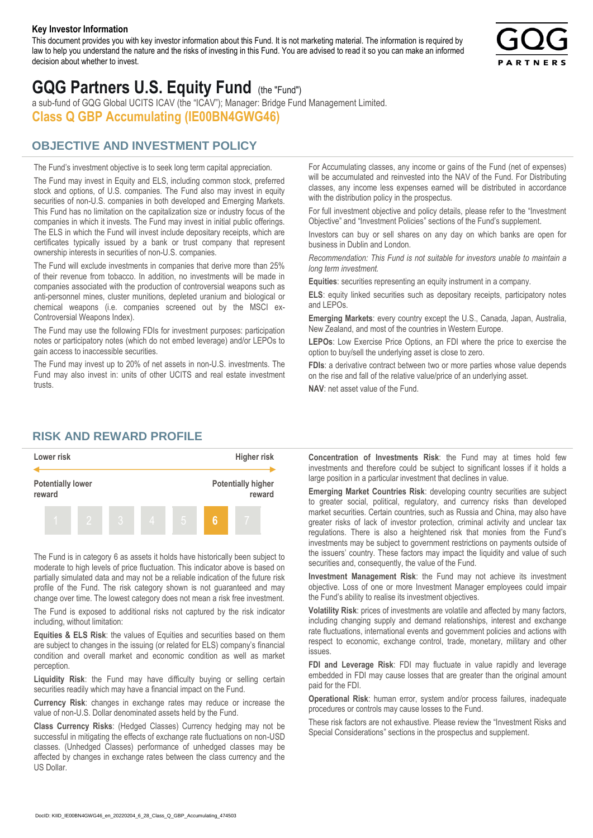#### **Key Investor Information**

This document provides you with key investor information about this Fund. It is not marketing material. The information is required by law to help you understand the nature and the risks of investing in this Fund. You are advised to read it so you can make an informed decision about whether to invest.



# **GQG Partners U.S. Equity Fund** (the "Fund")

a sub-fund of GQG Global UCITS ICAV (the "ICAV"); Manager: Bridge Fund Management Limited. **Class Q GBP Accumulating (IE00BN4GWG46)**

### **OBJECTIVE AND INVESTMENT POLICY**

The Fund's investment objective is to seek long term capital appreciation. The Fund may invest in Equity and ELS, including common stock, preferred stock and options, of U.S. companies. The Fund also may invest in equity securities of non-U.S. companies in both developed and Emerging Markets. This Fund has no limitation on the capitalization size or industry focus of the companies in which it invests. The Fund may invest in initial public offerings. The ELS in which the Fund will invest include depositary receipts, which are certificates typically issued by a bank or trust company that represent ownership interests in securities of non-U.S. companies.

The Fund will exclude investments in companies that derive more than 25% of their revenue from tobacco. In addition, no investments will be made in companies associated with the production of controversial weapons such as anti-personnel mines, cluster munitions, depleted uranium and biological or chemical weapons (i.e. companies screened out by the MSCI ex-Controversial Weapons Index).

The Fund may use the following FDIs for investment purposes: participation notes or participatory notes (which do not embed leverage) and/or LEPOs to gain access to inaccessible securities.

The Fund may invest up to 20% of net assets in non-U.S. investments. The Fund may also invest in: units of other UCITS and real estate investment trusts.

For Accumulating classes, any income or gains of the Fund (net of expenses) will be accumulated and reinvested into the NAV of the Fund. For Distributing classes, any income less expenses earned will be distributed in accordance with the distribution policy in the prospectus.

For full investment objective and policy details, please refer to the "Investment Objective" and "Investment Policies" sections of the Fund's supplement.

Investors can buy or sell shares on any day on which banks are open for business in Dublin and London.

*Recommendation: This Fund is not suitable for investors unable to maintain a long term investment.*

**Equities**: securities representing an equity instrument in a company.

**ELS**: equity linked securities such as depositary receipts, participatory notes and LEPOs.

**Emerging Markets**: every country except the U.S., Canada, Japan, Australia, New Zealand, and most of the countries in Western Europe.

**LEPOs**: Low Exercise Price Options, an FDI where the price to exercise the option to buy/sell the underlying asset is close to zero.

**FDIs**: a derivative contract between two or more parties whose value depends on the rise and fall of the relative value/price of an underlying asset.

**NAV**: net asset value of the Fund.

#### **RISK AND REWARD PROFILE**



The Fund is in category 6 as assets it holds have historically been subject to moderate to high levels of price fluctuation. This indicator above is based on partially simulated data and may not be a reliable indication of the future risk profile of the Fund. The risk category shown is not guaranteed and may change over time. The lowest category does not mean a risk free investment.

The Fund is exposed to additional risks not captured by the risk indicator including, without limitation:

**Equities & ELS Risk**: the values of Equities and securities based on them are subject to changes in the issuing (or related for ELS) company's financial condition and overall market and economic condition as well as market perception.

**Liquidity Risk**: the Fund may have difficulty buying or selling certain securities readily which may have a financial impact on the Fund.

**Currency Risk**: changes in exchange rates may reduce or increase the value of non-U.S. Dollar denominated assets held by the Fund.

**Class Currency Risks**: (Hedged Classes) Currency hedging may not be successful in mitigating the effects of exchange rate fluctuations on non-USD classes. (Unhedged Classes) performance of unhedged classes may be affected by changes in exchange rates between the class currency and the US Dollar.

**Concentration of Investments Risk**: the Fund may at times hold few investments and therefore could be subject to significant losses if it holds a large position in a particular investment that declines in value.

**Emerging Market Countries Risk**: developing country securities are subject to greater social, political, regulatory, and currency risks than developed market securities. Certain countries, such as Russia and China, may also have greater risks of lack of investor protection, criminal activity and unclear tax regulations. There is also a heightened risk that monies from the Fund's investments may be subject to government restrictions on payments outside of the issuers' country. These factors may impact the liquidity and value of such securities and, consequently, the value of the Fund.

**Investment Management Risk**: the Fund may not achieve its investment objective. Loss of one or more Investment Manager employees could impair the Fund's ability to realise its investment objectives.

**Volatility Risk**: prices of investments are volatile and affected by many factors, including changing supply and demand relationships, interest and exchange rate fluctuations, international events and government policies and actions with respect to economic, exchange control, trade, monetary, military and other issues.

**FDI and Leverage Risk**: FDI may fluctuate in value rapidly and leverage embedded in FDI may cause losses that are greater than the original amount paid for the FDI.

**Operational Risk**: human error, system and/or process failures, inadequate procedures or controls may cause losses to the Fund.

These risk factors are not exhaustive. Please review the "Investment Risks and Special Considerations" sections in the prospectus and supplement.